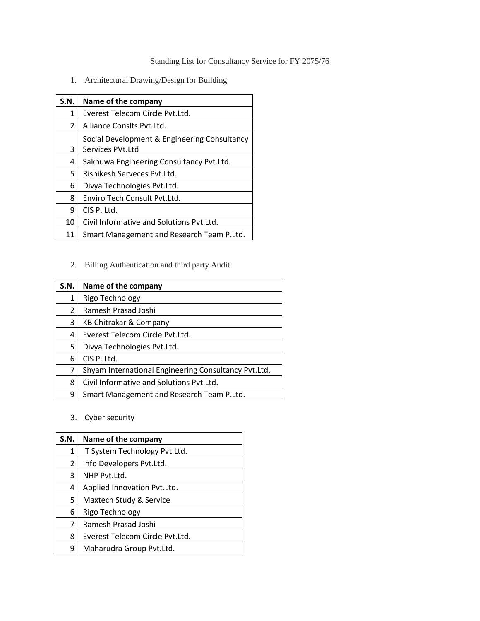Standing List for Consultancy Service for FY 2075/76

1. Architectural Drawing/Design for Building

| S.N.           | Name of the company                          |
|----------------|----------------------------------------------|
| 1              | Everest Telecom Circle Pyt.Ltd.              |
| $\overline{2}$ | Alliance Conslts Pyt.Ltd.                    |
|                | Social Development & Engineering Consultancy |
| 3              | Services PVt.Ltd                             |
| 4              | Sakhuwa Engineering Consultancy Pvt.Ltd.     |
| 5              | Rishikesh Serveces Pyt.Ltd.                  |
| 6              | Divya Technologies Pvt.Ltd.                  |
| 8              | Enviro Tech Consult Pyt.Ltd.                 |
| 9              | CIS P. Ltd.                                  |
| 10             | Civil Informative and Solutions Pvt.Ltd.     |
| 11             | Smart Management and Research Team P.Ltd.    |

# 2. Billing Authentication and third party Audit

| S.N. | Name of the company                                  |
|------|------------------------------------------------------|
| 1    | Rigo Technology                                      |
| 2    | Ramesh Prasad Joshi                                  |
| 3    | KB Chitrakar & Company                               |
| 4    | Everest Telecom Circle Pyt.Ltd.                      |
| 5    | Divya Technologies Pvt.Ltd.                          |
| 6    | CIS P. Ltd.                                          |
| 7    | Shyam International Engineering Consultancy Pvt.Ltd. |
| 8    | Civil Informative and Solutions Pyt.Ltd.             |
| 9    | Smart Management and Research Team P.Ltd.            |

3. Cyber security

| S.N. | Name of the company             |
|------|---------------------------------|
| 1    | IT System Technology Pvt.Ltd.   |
| 2    | Info Developers Pvt.Ltd.        |
| 3    | NHP Pyt.Ltd.                    |
| 4    | Applied Innovation Pvt.Ltd.     |
| 5    | Maxtech Study & Service         |
| 6    | Rigo Technology                 |
| 7    | Ramesh Prasad Joshi             |
| 8    | Everest Telecom Circle Pvt.Ltd. |
| 9    | Maharudra Group Pvt.Ltd.        |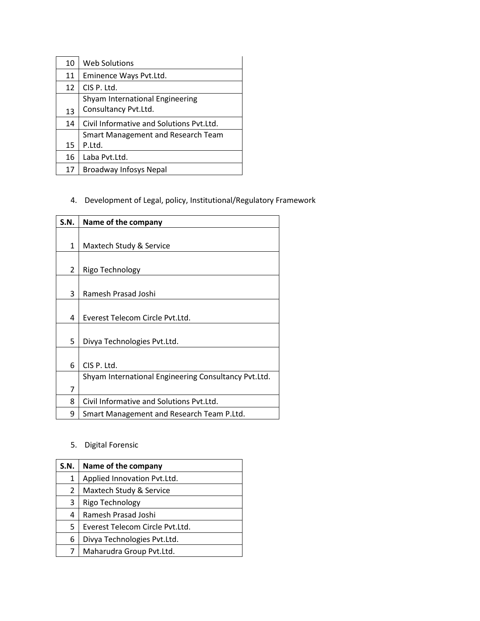| 10 | <b>Web Solutions</b>                                    |
|----|---------------------------------------------------------|
| 11 | Eminence Ways Pvt.Ltd.                                  |
| 12 | CIS P. Ltd.                                             |
| 13 | Shyam International Engineering<br>Consultancy Pvt.Ltd. |
| 14 | Civil Informative and Solutions Pyt. Ltd.               |
| 15 | <b>Smart Management and Research Team</b><br>P.Ltd.     |
| 16 | Laba Pvt.Ltd.                                           |
| 17 | <b>Broadway Infosys Nepal</b>                           |

# 4. Development of Legal, policy, Institutional/Regulatory Framework

| S.N. | Name of the company                                  |
|------|------------------------------------------------------|
|      |                                                      |
| 1    | Maxtech Study & Service                              |
|      |                                                      |
| 2    | Rigo Technology                                      |
|      |                                                      |
| 3    | Ramesh Prasad Joshi                                  |
|      |                                                      |
| 4    | Everest Telecom Circle Pyt.Ltd.                      |
|      |                                                      |
| 5    | Divya Technologies Pvt.Ltd.                          |
|      |                                                      |
| 6    | CIS P. Ltd.                                          |
|      | Shyam International Engineering Consultancy Pvt.Ltd. |
| 7    |                                                      |
| 8    | Civil Informative and Solutions Pyt. Ltd.            |
| 9    | Smart Management and Research Team P.Ltd.            |

### 5. Digital Forensic

| Name of the company             |
|---------------------------------|
| Applied Innovation Pvt.Ltd.     |
| Maxtech Study & Service         |
| Rigo Technology                 |
| Ramesh Prasad Joshi             |
| Everest Telecom Circle Pyt.Ltd. |
| Divya Technologies Pvt.Ltd.     |
| Maharudra Group Pvt.Ltd.        |
|                                 |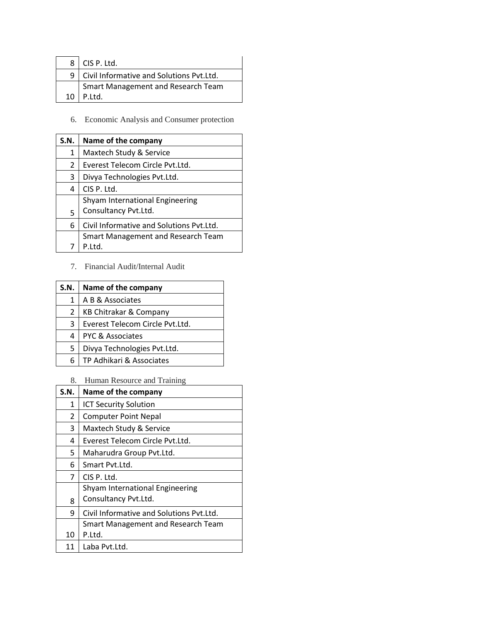|    | $8$   CIS P. Ltd.                            |
|----|----------------------------------------------|
|    | 9   Civil Informative and Solutions Pvt.Ltd. |
|    | Smart Management and Research Team           |
| 10 | l P.Ltd.                                     |

6. Economic Analysis and Consumer protection

| S.N. | Name of the company                      |
|------|------------------------------------------|
| 1    | Maxtech Study & Service                  |
| 2    | Everest Telecom Circle Pvt.Ltd.          |
| 3    | Divya Technologies Pvt.Ltd.              |
| 4    | CIS P. Ltd.                              |
|      | Shyam International Engineering          |
| 5    | Consultancy Pvt.Ltd.                     |
| 6    | Civil Informative and Solutions Pvt.Ltd. |
|      | Smart Management and Research Team       |
|      | P.Ltd.                                   |

7. Financial Audit/Internal Audit

| S.N. | Name of the company               |
|------|-----------------------------------|
| 1    | A B & Associates                  |
| 2    | <b>KB Chitrakar &amp; Company</b> |
| 3    | Everest Telecom Circle Pvt.Ltd.   |
| 4    | <b>PYC &amp; Associates</b>       |
| 5    | Divya Technologies Pvt.Ltd.       |
| 6    | TP Adhikari & Associates          |

8. Human Resource and Training

| <b>S.N.</b> | Name of the company                      |
|-------------|------------------------------------------|
| 1           | <b>ICT Security Solution</b>             |
| 2           | <b>Computer Point Nepal</b>              |
| 3           | Maxtech Study & Service                  |
| 4           | Everest Telecom Circle Pyt.Ltd.          |
| 5.          | Maharudra Group Pvt.Ltd.                 |
| 6           | Smart Pyt.Ltd.                           |
| 7           | CIS P. Ltd.                              |
|             | Shyam International Engineering          |
| 8           | Consultancy Pvt.Ltd.                     |
| q           | Civil Informative and Solutions Pyt.Ltd. |
|             | Smart Management and Research Team       |
| 10          | P.Ltd.                                   |
| 11          | Laba Pvt.Ltd.                            |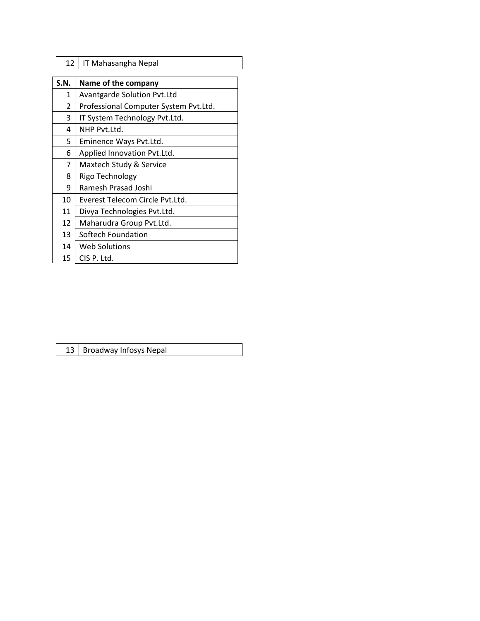|  | 12   IT Mahasangha Nepal |
|--|--------------------------|
|--|--------------------------|

| S.N. | Name of the company                   |
|------|---------------------------------------|
| 1    | <b>Avantgarde Solution Pvt.Ltd</b>    |
| 2    | Professional Computer System Pvt.Ltd. |
| 3    | IT System Technology Pvt.Ltd.         |
| 4    | NHP Pyt.1td.                          |
| 5    | Eminence Ways Pvt.Ltd.                |
| 6    | Applied Innovation Pvt.Ltd.           |
| 7    | Maxtech Study & Service               |
| 8    | Rigo Technology                       |
| 9    | Ramesh Prasad Joshi                   |
| 10   | Everest Telecom Circle Pyt.Ltd.       |
| 11   | Divya Technologies Pvt.Ltd.           |
| 12   | Maharudra Group Pvt.Ltd.              |
| 13   | Softech Foundation                    |
| 14   | Web Solutions                         |
| 15   | CIS P. Ltd.                           |

13 | Broadway Infosys Nepal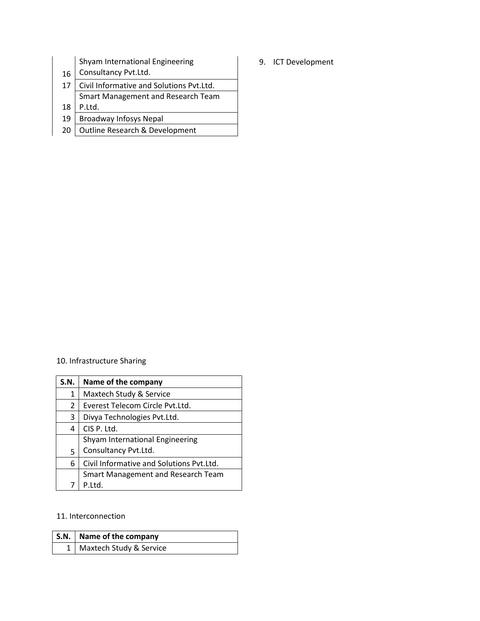|    | Shyam International Engineering<br>Consultancy Pvt.Ltd. |
|----|---------------------------------------------------------|
| 16 |                                                         |
| 17 | Civil Informative and Solutions Pvt.Ltd.                |
|    | Smart Management and Research Team                      |
| 18 | P.Ltd.                                                  |
| 19 | <b>Broadway Infosys Nepal</b>                           |
| 20 | Outline Research & Development                          |

10. Infrastructure Sharing

| S.N. | Name of the company                       |
|------|-------------------------------------------|
| 1    | Maxtech Study & Service                   |
| 2    | Everest Telecom Circle Pvt.Ltd.           |
| 3    | Divya Technologies Pvt.Ltd.               |
| 4    | CIS P. Ltd.                               |
|      | Shyam International Engineering           |
| 5    | Consultancy Pvt.Ltd.                      |
| 6    | Civil Informative and Solutions Pvt.Ltd.  |
|      | <b>Smart Management and Research Team</b> |
|      | P.Ltd.                                    |

#### 11. Interconnection

| S.N.   Name of the company  |
|-----------------------------|
| 1   Maxtech Study & Service |

9. ICT Development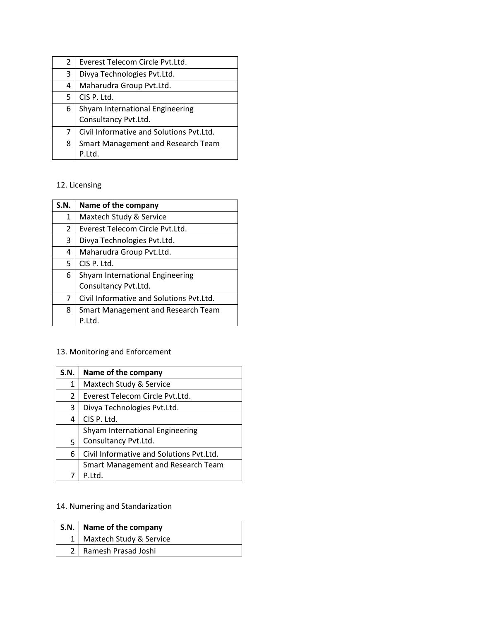| 2 | Everest Telecom Circle Pvt.Ltd.                         |
|---|---------------------------------------------------------|
| 3 | Divya Technologies Pvt.Ltd.                             |
| 4 | Maharudra Group Pvt.Ltd.                                |
| 5 | CIS P. Ltd.                                             |
| 6 | Shyam International Engineering<br>Consultancy Pvt.Ltd. |
|   |                                                         |
| 7 | Civil Informative and Solutions Pvt.Ltd.                |
| 8 | Smart Management and Research Team                      |
|   |                                                         |

### 12. Licensing

| S.N.           | Name of the company                      |
|----------------|------------------------------------------|
| 1              | Maxtech Study & Service                  |
| $\overline{2}$ | Everest Telecom Circle Pyt.Ltd.          |
| 3              | Divya Technologies Pvt.Ltd.              |
| 4              | Maharudra Group Pvt.Ltd.                 |
| 5.             | CIS P. Ltd.                              |
| 6              | Shyam International Engineering          |
|                | Consultancy Pvt.Ltd.                     |
| 7              | Civil Informative and Solutions Pvt.Ltd. |
| 8              | Smart Management and Research Team       |
|                | P.Ltd.                                   |

# 13. Monitoring and Enforcement

| S.N. | Name of the company                       |
|------|-------------------------------------------|
| 1    | Maxtech Study & Service                   |
| 2    | Everest Telecom Circle Pvt.Ltd.           |
| 3    | Divya Technologies Pvt.Ltd.               |
| 4    | CIS P. Ltd.                               |
|      | Shyam International Engineering           |
| 5    | Consultancy Pvt.Ltd.                      |
| 6    | Civil Informative and Solutions Pvt.Ltd.  |
|      | <b>Smart Management and Research Team</b> |
|      | P.Ltd.                                    |

# 14. Numering and Standarization

| S.N.   Name of the company  |
|-----------------------------|
| 1   Maxtech Study & Service |
| 2   Ramesh Prasad Joshi     |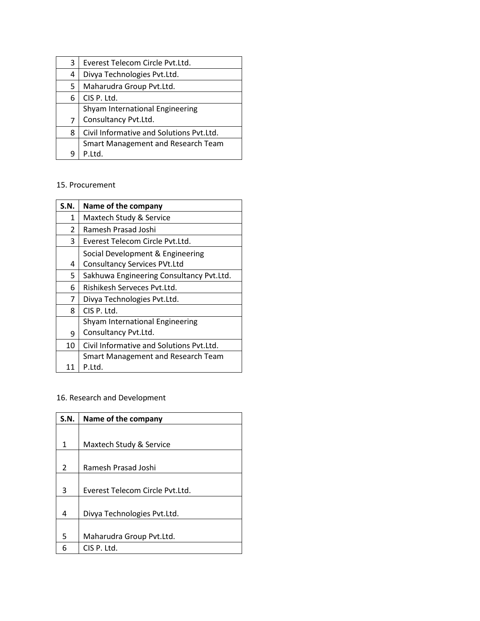| 3              | Everest Telecom Circle Pvt.Ltd.          |
|----------------|------------------------------------------|
| 4              | Divya Technologies Pvt.Ltd.              |
| 5.             | Maharudra Group Pvt.Ltd.                 |
| 6              | CIS P. Ltd.                              |
|                | Shyam International Engineering          |
| $\overline{7}$ | Consultancy Pvt.Ltd.                     |
| 8              | Civil Informative and Solutions Pvt.Ltd. |
|                | Smart Management and Research Team       |
|                | P.Ltd.                                   |

#### 15. Procurement

| S.N.          | Name of the company                       |
|---------------|-------------------------------------------|
| 1             | Maxtech Study & Service                   |
| $\mathcal{P}$ | Ramesh Prasad Joshi                       |
| 3             | Everest Telecom Circle Pyt.Ltd.           |
|               | Social Development & Engineering          |
| 4             | <b>Consultancy Services PVt.Ltd</b>       |
| 5             | Sakhuwa Engineering Consultancy Pvt.Ltd.  |
| 6             | Rishikesh Serveces Pyt.Ltd.               |
| 7             | Divya Technologies Pvt.Ltd.               |
| 8             | CIS P. Ltd.                               |
|               | Shyam International Engineering           |
| 9             | Consultancy Pvt.Ltd.                      |
| 10            | Civil Informative and Solutions Pyt.Ltd.  |
|               | <b>Smart Management and Research Team</b> |
| 11            | P.Ltd.                                    |

### 16. Research and Development

| S.N.          | Name of the company             |
|---------------|---------------------------------|
|               |                                 |
| 1             | Maxtech Study & Service         |
|               |                                 |
| $\mathcal{P}$ | Ramesh Prasad Joshi             |
|               |                                 |
| 3             | Everest Telecom Circle Pyt.Ltd. |
|               |                                 |
| 4             | Divya Technologies Pvt.Ltd.     |
|               |                                 |
| 5             | Maharudra Group Pvt.Ltd.        |
| 6             | CIS P. Ltd.                     |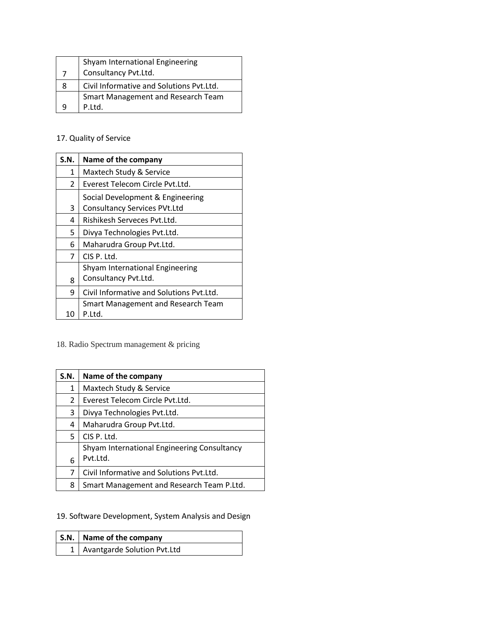|   | Shyam International Engineering          |
|---|------------------------------------------|
|   | Consultancy Pvt.Ltd.                     |
| 8 | Civil Informative and Solutions Pvt.Ltd. |
|   | Smart Management and Research Team       |
|   | P.Ltd.                                   |

### 17. Quality of Service

| S.N. | Name of the company                                                     |
|------|-------------------------------------------------------------------------|
| 1    | Maxtech Study & Service                                                 |
| 2    | Everest Telecom Circle Pyt.Ltd.                                         |
| 3    | Social Development & Engineering<br><b>Consultancy Services PVt.Ltd</b> |
| 4    | Rishikesh Serveces Pyt.Ltd.                                             |
| 5    | Divya Technologies Pvt.Ltd.                                             |
| 6    | Maharudra Group Pvt.Ltd.                                                |
| 7    | CIS P. Ltd.                                                             |
|      | Shyam International Engineering                                         |
| 8    | Consultancy Pvt.Ltd.                                                    |
| 9    | Civil Informative and Solutions Pvt.Ltd.                                |
| 10   | <b>Smart Management and Research Team</b><br>P.Ltd.                     |

18. Radio Spectrum management & pricing

| S.N. | Name of the company                         |
|------|---------------------------------------------|
| 1    | Maxtech Study & Service                     |
| 2    | Everest Telecom Circle Pyt.Ltd.             |
| 3    | Divya Technologies Pvt.Ltd.                 |
| 4    | Maharudra Group Pvt.Ltd.                    |
| 5    | CIS P. Ltd.                                 |
|      | Shyam International Engineering Consultancy |
| 6    | Pvt.Ltd.                                    |
| 7    | Civil Informative and Solutions Pvt.Ltd.    |
| 8    | Smart Management and Research Team P.Ltd.   |

19. Software Development, System Analysis and Design

| S.N.   Name of the company      |
|---------------------------------|
| 1   Avantgarde Solution Pvt.Ltd |